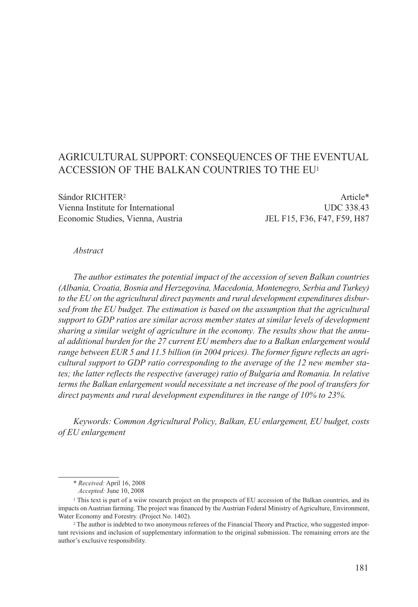# AGRICULTURAL SUPPORT: CONSEQUENCES OF THE EVENTUAL ACCESSION OF THE BALKAN COUNTRIES TO THE EU1

Sándor RICHTER<sup>2</sup> Article\* Vienna Institute for International UDC 338.43 Economic Studies, Vienna, Austria JEL F15, F36, F47, F59, H87

#### *Abstract*

*The author estimates the potential impact of the accession of seven Balkan countries (Albania, Croatia, Bosnia and Herzegovina, Macedonia, Montenegro, Serbia and Turkey) to the EU on the agricultural direct payments and rural development expenditures disbursed from the EU budget. The estimation is based on the assumption that the agricultural support to GDP ratios are similar across member states at similar levels of development sharing a similar weight of agriculture in the economy. The results show that the annual additional burden for the 27 current EU members due to a Balkan enlargement would range between EUR 5 and 11.5 billion (in 2004 prices). The former figure reflects an agricultural support to GDP ratio corresponding to the average of the 12 new member states; the latter reflects the respective (average) ratio of Bulgaria and Romania. In relative terms the Balkan enlargement would necessitate a net increase of the pool of transfers for direct payments and rural development expenditures in the range of 10% to 23%.* 

*Keywords: Common Agricultural Policy, Balkan, EU enlargement, EU budget, costs of EU enlargement*

<sup>\*</sup> *Received:* April 16, 2008

*Accepted:* June 10, 2008

<sup>1</sup> This text is part of a wiiw research project on the prospects of EU accession of the Balkan countries, and its impacts on Austrian farming. The project was financed by the Austrian Federal Ministry of Agriculture, Environment, Water Economy and Forestry. (Project No. 1402).<br><sup>2</sup> The author is indebted to two anonymous referees of the Financial Theory and Practice, who suggested impor-

tant revisions and inclusion of supplementary information to the original submission. The remaining errors are the author's exclusive responsibility.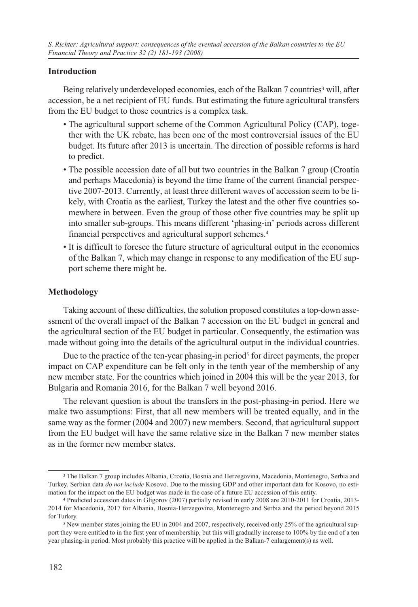### **Introduction**

Being relatively underdeveloped economies, each of the Balkan 7 countries<sup>3</sup> will, after accession, be a net recipient of EU funds. But estimating the future agricultural transfers from the EU budget to those countries is a complex task.

- The agricultural support scheme of the Common Agricultural Policy (CAP), together with the UK rebate, has been one of the most controversial issues of the EU budget. Its future after 2013 is uncertain. The direction of possible reforms is hard to predict.
- The possible accession date of all but two countries in the Balkan 7 group (Croatia and perhaps Macedonia) is beyond the time frame of the current financial perspective 2007-2013. Currently, at least three different waves of accession seem to be likely, with Croatia as the earliest, Turkey the latest and the other five countries somewhere in between. Even the group of those other five countries may be split up into smaller sub-groups. This means different 'phasing-in' periods across different financial perspectives and agricultural support schemes.4
- It is difficult to foresee the future structure of agricultural output in the economies of the Balkan 7, which may change in response to any modification of the EU support scheme there might be.

#### **Methodology**

Taking account of these difficulties, the solution proposed constitutes a top-down assessment of the overall impact of the Balkan 7 accession on the EU budget in general and the agricultural section of the EU budget in particular. Consequently, the estimation was made without going into the details of the agricultural output in the individual countries.

Due to the practice of the ten-year phasing-in period<sup>5</sup> for direct payments, the proper impact on CAP expenditure can be felt only in the tenth year of the membership of any new member state. For the countries which joined in 2004 this will be the year 2013, for Bulgaria and Romania 2016, for the Balkan 7 well beyond 2016.

The relevant question is about the transfers in the post-phasing-in period. Here we make two assumptions: First, that all new members will be treated equally, and in the same way as the former (2004 and 2007) new members. Second, that agricultural support from the EU budget will have the same relative size in the Balkan 7 new member states as in the former new member states.

<sup>3</sup> The Balkan 7 group includes Albania, Croatia, Bosnia and Herzegovina, Macedonia, Montenegro, Serbia and Turkey. Serbian data *do not include* Kosovo. Due to the missing GDP and other important data for Kosovo, no esti-<br>mation for the impact on the EU budget was made in the case of a future EU accession of this entity.

<sup>&</sup>lt;sup>4</sup> Predicted accession dates in Gligorov (2007) partially revised in early 2008 are 2010-2011 for Croatia, 2013-2014 for Macedonia, 2017 for Albania, Bosnia-Herzegovina, Montenegro and Serbia and the period beyond 2015 for Turkey.

<sup>5</sup> New member states joining the EU in 2004 and 2007, respectively, received only 25% of the agricultural support they were entitled to in the first year of membership, but this will gradually increase to 100% by the end of a ten year phasing-in period. Most probably this practice will be applied in the Balkan-7 enlargement(s) as well.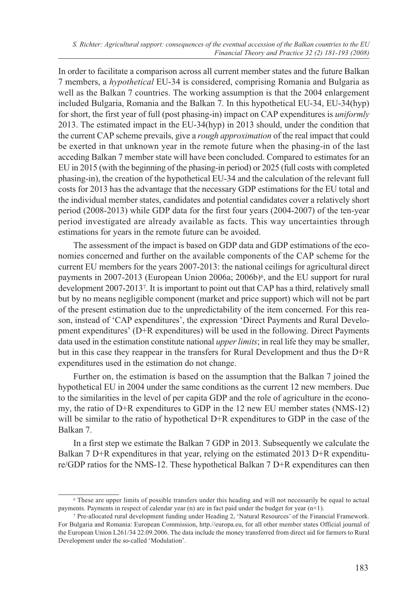In order to facilitate a comparison across all current member states and the future Balkan 7 members, a *hypothetical* EU-34 is considered, comprising Romania and Bulgaria as well as the Balkan 7 countries. The working assumption is that the 2004 enlargement included Bulgaria, Romania and the Balkan 7. In this hypothetical EU-34, EU-34(hyp) for short, the first year of full (post phasing-in) impact on CAP expenditures is *uniformly* 2013. The estimated impact in the EU-34(hyp) in 2013 should, under the condition that the current CAP scheme prevails, give a *rough approximation* of the real impact that could be exerted in that unknown year in the remote future when the phasing-in of the last acceding Balkan 7 member state will have been concluded. Compared to estimates for an EU in 2015 (with the beginning of the phasing-in period) or 2025 (full costs with completed phasing-in), the creation of the hypothetical EU-34 and the calculation of the relevant full costs for 2013 has the advantage that the necessary GDP estimations for the EU total and the individual member states, candidates and potential candidates cover a relatively short period (2008-2013) while GDP data for the first four years (2004-2007) of the ten-year period investigated are already available as facts. This way uncertainties through estimations for years in the remote future can be avoided.

The assessment of the impact is based on GDP data and GDP estimations of the economies concerned and further on the available components of the CAP scheme for the current EU members for the years 2007-2013: the national ceilings for agricultural direct payments in 2007-2013 (European Union 2006a; 2006b) $\frac{6}{3}$ , and the EU support for rural development 2007-20137. It is important to point out that CAP has a third, relatively small but by no means negligible component (market and price support) which will not be part of the present estimation due to the unpredictability of the item concerned. For this reason, instead of 'CAP expenditures', the expression 'Direct Payments and Rural Development expenditures' (D+R expenditures) will be used in the following. Direct Payments data used in the estimation constitute national *upper limits*; in real life they may be smaller, but in this case they reappear in the transfers for Rural Development and thus the D+R expenditures used in the estimation do not change.

Further on, the estimation is based on the assumption that the Balkan 7 joined the hypothetical EU in 2004 under the same conditions as the current 12 new members. Due to the similarities in the level of per capita GDP and the role of agriculture in the economy, the ratio of D+R expenditures to GDP in the 12 new EU member states (NMS-12) will be similar to the ratio of hypothetical D+R expenditures to GDP in the case of the Balkan 7.

In a first step we estimate the Balkan 7 GDP in 2013. Subsequently we calculate the Balkan 7 D+R expenditures in that year, relying on the estimated 2013 D+R expenditure/GDP ratios for the NMS-12. These hypothetical Balkan 7 D+R expenditures can then

<sup>6</sup> These are upper limits of possible transfers under this heading and will not necessarily be equal to actual payments. Payments in respect of calendar year (n) are in fact paid under the budget for year (n+1).

<sup>7</sup> Pre-allocated rural development funding under Heading 2, 'Natural Resources' of the Financial Framework. For Bulgaria and Romania: European Commission, http.//europa.eu, for all other member states Official journal of the European Union L261/34 22.09.2006. The data include the money transferred from direct aid for farmers to Rural Development under the so-called 'Modulation'.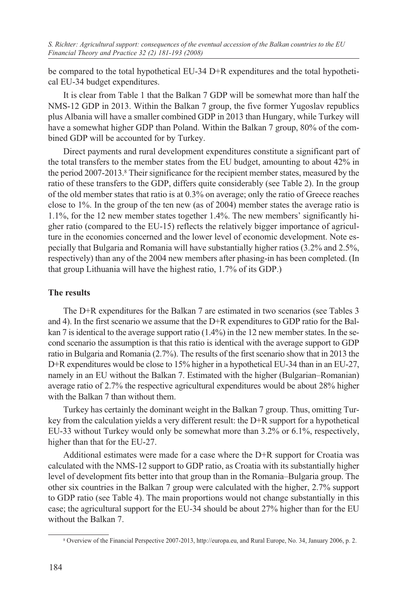be compared to the total hypothetical EU-34 D+R expenditures and the total hypothetical EU-34 budget expenditures.

It is clear from Table 1 that the Balkan 7 GDP will be somewhat more than half the NMS-12 GDP in 2013. Within the Balkan 7 group, the five former Yugoslav republics plus Albania will have a smaller combined GDP in 2013 than Hungary, while Turkey will have a somewhat higher GDP than Poland. Within the Balkan 7 group, 80% of the combined GDP will be accounted for by Turkey.

Direct payments and rural development expenditures constitute a significant part of the total transfers to the member states from the EU budget, amounting to about 42% in the period 2007-2013.8 Their significance for the recipient member states, measured by the ratio of these transfers to the GDP, differs quite considerably (see Table 2). In the group of the old member states that ratio is at 0.3% on average; only the ratio of Greece reaches close to 1%. In the group of the ten new (as of 2004) member states the average ratio is 1.1%, for the 12 new member states together 1.4%. The new members' significantly higher ratio (compared to the EU-15) reflects the relatively bigger importance of agriculture in the economies concerned and the lower level of economic development. Note especially that Bulgaria and Romania will have substantially higher ratios (3.2% and 2.5%, respectively) than any of the 2004 new members after phasing-in has been completed. (In that group Lithuania will have the highest ratio, 1.7% of its GDP.)

# **The results**

The D+R expenditures for the Balkan 7 are estimated in two scenarios (see Tables 3 and 4). In the first scenario we assume that the D+R expenditures to GDP ratio for the Balkan 7 is identical to the average support ratio  $(1.4\%)$  in the 12 new member states. In the second scenario the assumption is that this ratio is identical with the average support to GDP ratio in Bulgaria and Romania (2.7%). The results of the first scenario show that in 2013 the D+R expenditures would be close to 15% higher in a hypothetical EU-34 than in an EU-27, namely in an EU without the Balkan 7. Estimated with the higher (Bulgarian–Romanian) average ratio of 2.7% the respective agricultural expenditures would be about 28% higher with the Balkan 7 than without them.

Turkey has certainly the dominant weight in the Balkan 7 group. Thus, omitting Turkey from the calculation yields a very different result: the D+R support for a hypothetical EU-33 without Turkey would only be somewhat more than 3.2% or 6.1%, respectively, higher than that for the EU-27.

Additional estimates were made for a case where the D+R support for Croatia was calculated with the NMS-12 support to GDP ratio, as Croatia with its substantially higher level of development fits better into that group than in the Romania–Bulgaria group. The other six countries in the Balkan 7 group were calculated with the higher, 2.7% support to GDP ratio (see Table 4). The main proportions would not change substantially in this case; the agricultural support for the EU-34 should be about 27% higher than for the EU without the Balkan 7.

<sup>8</sup> Overview of the Financial Perspective 2007-2013, http://europa.eu, and Rural Europe, No. 34, January 2006, p. 2.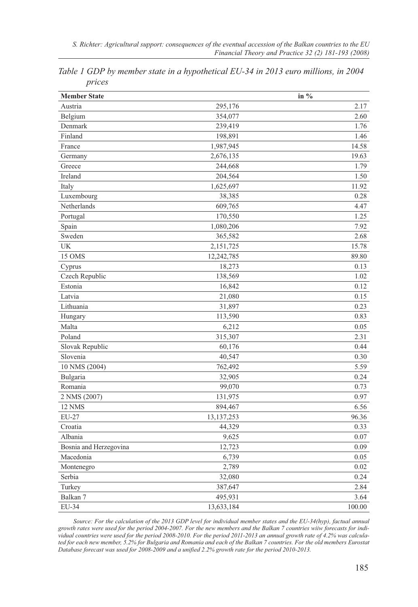| <b>Member State</b>    |              | in $%$ |
|------------------------|--------------|--------|
| Austria                | 295,176      | 2.17   |
| Belgium                | 354,077      | 2.60   |
| Denmark                | 239,419      | 1.76   |
| Finland                | 198,891      | 1.46   |
| France                 | 1,987,945    | 14.58  |
| Germany                | 2,676,135    | 19.63  |
| Greece                 | 244,668      | 1.79   |
| Ireland                | 204,564      | 1.50   |
| Italy                  | 1,625,697    | 11.92  |
| Luxembourg             | 38,385       | 0.28   |
| Netherlands            | 609,765      | 4.47   |
| Portugal               | 170,550      | 1.25   |
| Spain                  | 1,080,206    | 7.92   |
| Sweden                 | 365,582      | 2.68   |
| <b>UK</b>              | 2,151,725    | 15.78  |
| <b>15 OMS</b>          | 12,242,785   | 89.80  |
| Cyprus                 | 18,273       | 0.13   |
| Czech Republic         | 138,569      | 1.02   |
| Estonia                | 16,842       | 0.12   |
| Latvia                 | 21,080       | 0.15   |
| Lithuania              | 31,897       | 0.23   |
| Hungary                | 113,590      | 0.83   |
| Malta                  | 6,212        | 0.05   |
| Poland                 | 315,307      | 2.31   |
| Slovak Republic        | 60,176       | 0.44   |
| Slovenia               | 40,547       | 0.30   |
| 10 NMS (2004)          | 762,492      | 5.59   |
| Bulgaria               | 32,905       | 0.24   |
| Romania                | 99,070       | 0.73   |
| 2 NMS (2007)           | 131,975      | 0.97   |
| 12 NMS                 | 894,467      | 6.56   |
| EU-27                  | 13, 137, 253 | 96.36  |
| Croatia                | 44,329       | 0.33   |
| Albania                | 9,625        | 0.07   |
| Bosnia and Herzegovina | 12,723       | 0.09   |
| Macedonia              | 6,739        | 0.05   |
| Montenegro             | 2,789        | 0.02   |
| Serbia                 | 32,080       | 0.24   |
| Turkey                 | 387,647      | 2.84   |
| Balkan 7               | 495,931      | 3.64   |
| EU-34                  | 13,633,184   | 100.00 |

*Table 1 GDP by member state in a hypothetical EU-34 in 2013 euro millions, in 2004 prices*

*Source: For the calculation of the 2013 GDP level for individual member states and the EU-34(hyp), factual annual growth rates were used for the period 2004-2007. For the new members and the Balkan 7 countries wiiw forecasts for individual countries were used for the period 2008-2010. For the period 2011-2013 an annual growth rate of 4.2% was calculated for each new member, 5.2% for Bulgaria and Romania and each of the Balkan 7 countries. For the old members Eurostat Database forecast was used for 2008-2009 and a unified 2.2% growth rate for the period 2010-2013.*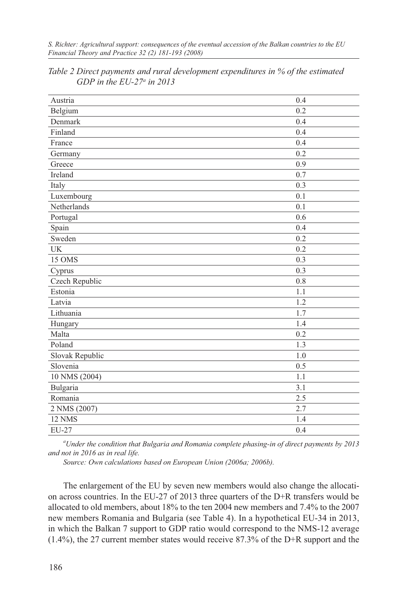*S. Richter: Agricultural support: consequences of the eventual accession of the Balkan countries to the EU Financial Theory and Practice 32 (2) 181-193 (2008)*

| Austria         | 0.4 |
|-----------------|-----|
| Belgium         | 0.2 |
| Denmark         | 0.4 |
| Finland         | 0.4 |
| France          | 0.4 |
| Germany         | 0.2 |
| Greece          | 0.9 |
| Ireland         | 0.7 |
| Italy           | 0.3 |
| Luxembourg      | 0.1 |
| Netherlands     | 0.1 |
| Portugal        | 0.6 |
| Spain           | 0.4 |
| Sweden          | 0.2 |
| <b>UK</b>       | 0.2 |
| 15 OMS          | 0.3 |
| Cyprus          | 0.3 |
| Czech Republic  | 0.8 |
| Estonia         | 1.1 |
| Latvia          | 1.2 |
| Lithuania       | 1.7 |
| Hungary         | 1.4 |
| Malta           | 0.2 |
| Poland          | 1.3 |
| Slovak Republic | 1.0 |
| Slovenia        | 0.5 |
| 10 NMS (2004)   | 1.1 |
| Bulgaria        | 3.1 |
| Romania         | 2.5 |
| 2 NMS (2007)    | 2.7 |
| 12 NMS          | 1.4 |
| EU-27           | 0.4 |

*Table 2 Direct payments and rural development expenditures in % of the estimated GDP in the EU-27a in 2013*

*a Under the condition that Bulgaria and Romania complete phasing-in of direct payments by 2013 and not in 2016 as in real life.*

*Source: Own calculations based on European Union (2006a; 2006b).*

The enlargement of the EU by seven new members would also change the allocation across countries. In the EU-27 of 2013 three quarters of the D+R transfers would be allocated to old members, about 18% to the ten 2004 new members and 7.4% to the 2007 new members Romania and Bulgaria (see Table 4). In a hypothetical EU-34 in 2013, in which the Balkan 7 support to GDP ratio would correspond to the NMS-12 average (1.4%), the 27 current member states would receive 87.3% of the D+R support and the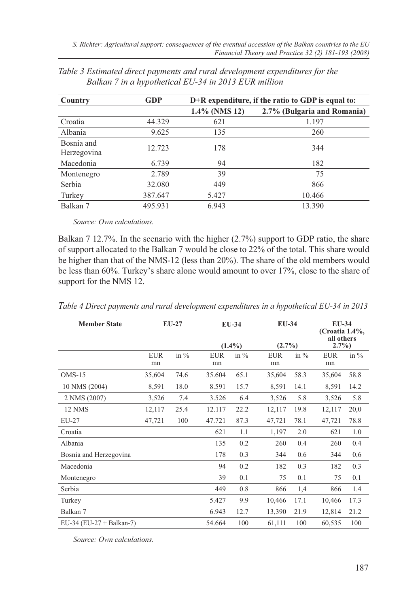| Country                   | <b>GDP</b> | $D+R$ expenditure, if the ratio to GDP is equal to: |                             |  |  |  |  |
|---------------------------|------------|-----------------------------------------------------|-----------------------------|--|--|--|--|
|                           |            | $1.4\%$ (NMS 12)                                    | 2.7% (Bulgaria and Romania) |  |  |  |  |
| Croatia                   | 44.329     | 621                                                 | 1.197                       |  |  |  |  |
| Albania                   | 9.625      | 135                                                 | 260                         |  |  |  |  |
| Bosnia and<br>Herzegovina | 12.723     | 178                                                 | 344                         |  |  |  |  |
| Macedonia                 | 6.739      | 94                                                  | 182                         |  |  |  |  |
| Montenegro                | 2.789      | 39                                                  | 75                          |  |  |  |  |
| Serbia                    | 32.080     | 449                                                 | 866                         |  |  |  |  |
| Turkey                    | 387.647    | 5.427                                               | 10.466                      |  |  |  |  |
| Balkan 7                  | 495.931    | 6.943                                               | 13.390                      |  |  |  |  |

*Table 3 Estimated direct payments and rural development expenditures for the Balkan 7 in a hypothetical EU-34 in 2013 EUR million*

*Source: Own calculations.*

Balkan 7 12.7%. In the scenario with the higher (2.7%) support to GDP ratio, the share of support allocated to the Balkan 7 would be close to 22% of the total. This share would be higher than that of the NMS-12 (less than 20%). The share of the old members would be less than 60%. Turkey's share alone would amount to over 17%, close to the share of support for the NMS 12.

| <b>Member State</b>      |            | $EU-27$ |            | EU-34                |                  | EU-34<br>$(2.7\%)$ |            | EU-34<br>(Croatia 1.4%,<br>all others<br>$2.7\%$ |  |
|--------------------------|------------|---------|------------|----------------------|------------------|--------------------|------------|--------------------------------------------------|--|
|                          | <b>EUR</b> | in $\%$ | <b>EUR</b> | $(1.4\%)$<br>in $\%$ |                  | in $\%$            | <b>EUR</b> | in $\%$                                          |  |
|                          | mn         |         | mn         |                      | <b>EUR</b><br>mn |                    | mn         |                                                  |  |
| $OMS-15$                 | 35,604     | 74.6    | 35.604     | 65.1                 | 35,604           | 58.3               | 35,604     | 58.8                                             |  |
| 10 NMS (2004)            | 8,591      | 18.0    | 8.591      | 15.7                 | 8,591            | 14.1               | 8,591      | 14.2                                             |  |
| 2 NMS (2007)             | 3,526      | 7.4     | 3.526      | 6.4                  | 3,526            | 5.8                | 3,526      | 5.8                                              |  |
| <b>12 NMS</b>            | 12,117     | 25.4    | 12.117     | 22.2                 | 12,117           | 19.8               | 12,117     | 20,0                                             |  |
| EU-27                    | 47,721     | 100     | 47.721     | 87.3                 | 47,721           | 78.1               | 47,721     | 78.8                                             |  |
| Croatia                  |            |         | 621        | 1.1                  | 1,197            | 2.0                | 621        | 1.0                                              |  |
| Albania                  |            |         | 135        | 0.2                  | 260              | 0.4                | 260        | 0.4                                              |  |
| Bosnia and Herzegovina   |            |         | 178        | 0.3                  | 344              | 0.6                | 344        | 0,6                                              |  |
| Macedonia                |            |         | 94         | 0.2                  | 182              | 0.3                | 182        | 0.3                                              |  |
| Montenegro               |            |         | 39         | 0.1                  | 75               | 0.1                | 75         | 0,1                                              |  |
| Serbia                   |            |         | 449        | 0.8                  | 866              | 1,4                | 866        | 1.4                                              |  |
| Turkey                   |            |         | 5.427      | 9.9                  | 10,466           | 17.1               | 10,466     | 17.3                                             |  |
| Balkan 7                 |            |         | 6.943      | 12.7                 | 13,390           | 21.9               | 12,814     | 21.2                                             |  |
| EU-34 (EU-27 + Balkan-7) |            |         | 54.664     | 100                  | 61,111           | 100                | 60,535     | 100                                              |  |

*Table 4 Direct payments and rural development expenditures in a hypothetical EU-34 in 2013*

*Source: Own calculations.*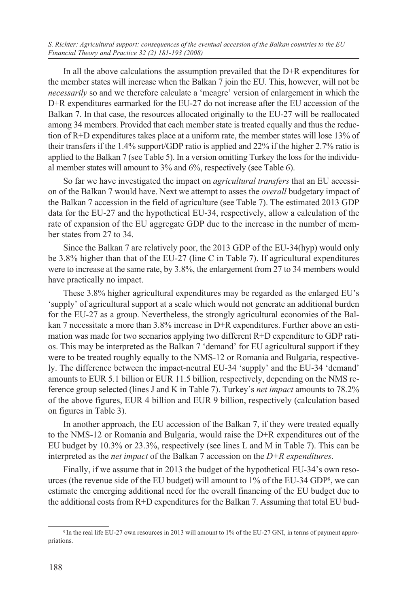In all the above calculations the assumption prevailed that the D+R expenditures for the member states will increase when the Balkan 7 join the EU. This, however, will not be *necessarily* so and we therefore calculate a 'meagre' version of enlargement in which the D+R expenditures earmarked for the EU-27 do not increase after the EU accession of the Balkan 7. In that case, the resources allocated originally to the EU-27 will be reallocated among 34 members. Provided that each member state is treated equally and thus the reduction of R+D expenditures takes place at a uniform rate, the member states will lose 13% of their transfers if the 1.4% support/GDP ratio is applied and 22% if the higher 2.7% ratio is applied to the Balkan 7 (see Table 5). In a version omitting Turkey the loss for the individual member states will amount to 3% and 6%, respectively (see Table 6).

So far we have investigated the impact on *agricultural transfers* that an EU accession of the Balkan 7 would have. Next we attempt to asses the *overall* budgetary impact of the Balkan 7 accession in the field of agriculture (see Table 7). The estimated 2013 GDP data for the EU-27 and the hypothetical EU-34, respectively, allow a calculation of the rate of expansion of the EU aggregate GDP due to the increase in the number of member states from 27 to 34.

Since the Balkan 7 are relatively poor, the 2013 GDP of the EU-34(hyp) would only be 3.8% higher than that of the EU-27 (line C in Table 7). If agricultural expenditures were to increase at the same rate, by 3.8%, the enlargement from 27 to 34 members would have practically no impact.

These 3.8% higher agricultural expenditures may be regarded as the enlarged EU's 'supply' of agricultural support at a scale which would not generate an additional burden for the EU-27 as a group. Nevertheless, the strongly agricultural economies of the Balkan 7 necessitate a more than 3.8% increase in D+R expenditures. Further above an estimation was made for two scenarios applying two different R+D expenditure to GDP ratios. This may be interpreted as the Balkan 7 'demand' for EU agricultural support if they were to be treated roughly equally to the NMS-12 or Romania and Bulgaria, respectively. The difference between the impact-neutral EU-34 'supply' and the EU-34 'demand' amounts to EUR 5.1 billion or EUR 11.5 billion, respectively, depending on the NMS reference group selected (lines J and K in Table 7). Turkey's *net impact* amounts to 78.2% of the above figures, EUR 4 billion and EUR 9 billion, respectively (calculation based on figures in Table 3).

In another approach, the EU accession of the Balkan 7, if they were treated equally to the NMS-12 or Romania and Bulgaria, would raise the D+R expenditures out of the EU budget by 10.3% or 23.3%, respectively (see lines L and M in Table 7). This can be interpreted as the *net impact* of the Balkan 7 accession on the *D+R expenditures*.

Finally, if we assume that in 2013 the budget of the hypothetical EU-34's own resources (the revenue side of the EU budget) will amount to 1% of the EU-34 GDP9, we can estimate the emerging additional need for the overall financing of the EU budget due to the additional costs from R+D expenditures for the Balkan 7. Assuming that total EU bud-

<sup>9</sup> In the real life EU-27 own resources in 2013 will amount to 1% of the EU-27 GNI, in terms of payment appropriations.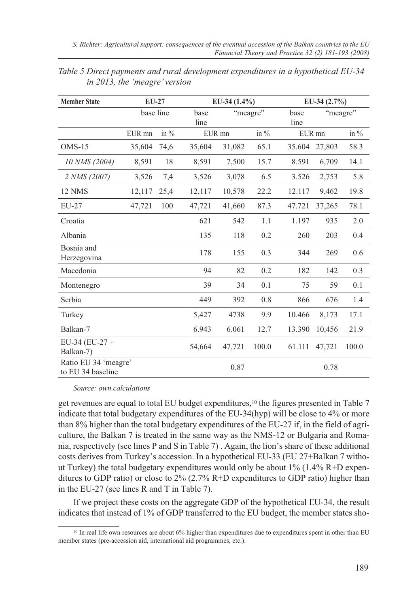| <b>Member State</b>                       | $EU-27$   |         |              | EU-34 $(1.4\%)$ |          | EU-34 $(2.7\%)$ |          |       |
|-------------------------------------------|-----------|---------|--------------|-----------------|----------|-----------------|----------|-------|
|                                           | base line |         | base<br>line |                 | "meagre" | base<br>line    | "meagre" |       |
|                                           | EUR mn    | in $\%$ |              | EUR mn          | in $\%$  |                 | EUR mn   |       |
| $OMS-15$                                  | 35,604    | 74,6    | 35,604       | 31,082          | 65.1     | 35.604          | 27,803   | 58.3  |
| 10 NMS (2004)                             | 8,591     | 18      | 8,591        | 7,500           | 15.7     | 8.591           | 6,709    | 14.1  |
| 2 NMS (2007)                              | 3,526     | 7,4     | 3,526        | 3,078           | 6.5      | 3.526           | 2,753    | 5.8   |
| 12 NMS                                    | 12,117    | 25,4    | 12,117       | 10,578          | 22.2     | 12.117          | 9,462    | 19.8  |
| $EU-27$                                   | 47,721    | 100     | 47,721       | 41,660          | 87.3     | 47.721          | 37,265   | 78.1  |
| Croatia                                   |           |         | 621          | 542             | 1.1      | 1.197           | 935      | 2.0   |
| Albania                                   |           |         | 135          | 118             | 0.2      | 260             | 203      | 0.4   |
| Bosnia and<br>Herzegovina                 |           |         | 178          | 155             | 0.3      | 344             | 269      | 0.6   |
| Macedonia                                 |           |         | 94           | 82              | 0.2      | 182             | 142      | 0.3   |
| Montenegro                                |           |         | 39           | 34              | 0.1      | 75              | 59       | 0.1   |
| Serbia                                    |           |         | 449          | 392             | 0.8      | 866             | 676      | 1.4   |
| Turkey                                    |           |         | 5,427        | 4738            | 9.9      | 10.466          | 8,173    | 17.1  |
| Balkan-7                                  |           |         | 6.943        | 6.061           | 12.7     | 13.390          | 10,456   | 21.9  |
| $EU-34 (EU-27 +$<br>Balkan-7)             |           |         | 54,664       | 47,721          | 100.0    | 61.111          | 47,721   | 100.0 |
| Ratio EU 34 'meagre'<br>to EU 34 baseline |           |         |              | 0.87            |          |                 | 0.78     |       |

*Table 5 Direct payments and rural development expenditures in a hypothetical EU-34 in 2013, the 'meagre' version*

*Source: own calculations*

get revenues are equal to total EU budget expenditures,<sup>10</sup> the figures presented in Table 7 indicate that total budgetary expenditures of the EU-34(hyp) will be close to 4% or more than 8% higher than the total budgetary expenditures of the EU-27 if, in the field of agriculture, the Balkan 7 is treated in the same way as the NMS-12 or Bulgaria and Romania, respectively (see lines P and S in Table 7) . Again, the lion's share of these additional costs derives from Turkey's accession. In a hypothetical EU-33 (EU 27+Balkan 7 without Turkey) the total budgetary expenditures would only be about 1% (1.4% R+D expenditures to GDP ratio) or close to 2% (2.7% R+D expenditures to GDP ratio) higher than in the EU-27 (see lines R and T in Table 7).

If we project these costs on the aggregate GDP of the hypothetical EU-34, the result indicates that instead of 1% of GDP transferred to the EU budget, the member states sho-

<sup>&</sup>lt;sup>10</sup> In real life own resources are about 6% higher than expenditures due to expenditures spent in other than EU member states (pre-accession aid, international aid programmes, etc.).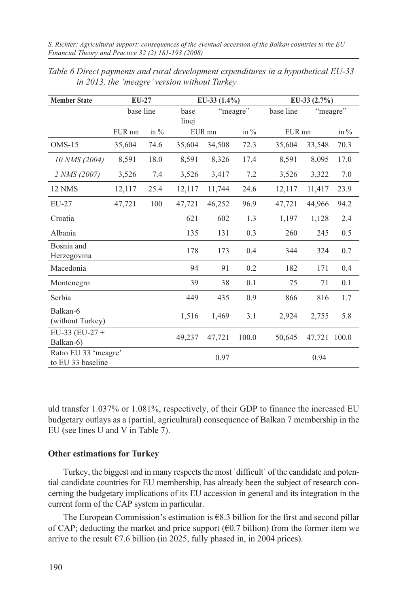| <b>Member State</b>                       | EU-27     |         |               | EU-33 $(1.4\%)$ |          | EU-33 $(2.7\%)$ |                       |         |
|-------------------------------------------|-----------|---------|---------------|-----------------|----------|-----------------|-----------------------|---------|
|                                           | base line |         | base<br>linej |                 | "meagre" |                 | base line<br>"meagre" |         |
|                                           | EUR mn    | in $\%$ |               | EUR mn          | in $\%$  | EUR mn          |                       | in $\%$ |
| $OMS-15$                                  | 35,604    | 74.6    | 35,604        | 34,508          | 72.3     | 35,604          | 33,548                | 70.3    |
| 10 NMS (2004)                             | 8,591     | 18.0    | 8,591         | 8,326           | 17.4     | 8,591           | 8,095                 | 17.0    |
| 2 NMS (2007)                              | 3,526     | 7.4     | 3,526         | 3,417           | 7.2      | 3,526           | 3,322                 | 7.0     |
| 12 NMS                                    | 12,117    | 25.4    | 12,117        | 11,744          | 24.6     | 12,117          | 11,417                | 23.9    |
| $EU-27$                                   | 47,721    | 100     | 47,721        | 46,252          | 96.9     | 47,721          | 44,966                | 94.2    |
| Croatia                                   |           |         | 621           | 602             | 1.3      | 1,197           | 1,128                 | 2.4     |
| Albania                                   |           |         | 135           | 131             | 0.3      | 260             | 245                   | 0.5     |
| Bosnia and<br>Herzegovina                 |           |         | 178           | 173             | 0.4      | 344             | 324                   | 0.7     |
| Macedonia                                 |           |         | 94            | 91              | 0.2      | 182             | 171                   | 0.4     |
| Montenegro                                |           |         | 39            | 38              | 0.1      | 75              | 71                    | 0.1     |
| Serbia                                    |           |         | 449           | 435             | 0.9      | 866             | 816                   | 1.7     |
| Balkan-6<br>(without Turkey)              |           |         | 1,516         | 1,469           | 3.1      | 2,924           | 2,755                 | 5.8     |
| EU-33 (EU-27 +<br>Balkan-6)               |           |         | 49,237        | 47,721          | 100.0    | 50,645          | 47,721                | 100.0   |
| Ratio EU 33 'meagre'<br>to EU 33 baseline |           |         |               | 0.97            |          |                 | 0.94                  |         |

*Table 6 Direct payments and rural development expenditures in a hypothetical EU-33 in 2013, the 'meagre' version without Turkey*

uld transfer 1.037% or 1.081%, respectively, of their GDP to finance the increased EU budgetary outlays as a (partial, agricultural) consequence of Balkan 7 membership in the EU (see lines U and V in Table 7).

#### **Other estimations for Turkey**

Turkey, the biggest and in many respects the most `difficult` of the candidate and potential candidate countries for EU membership, has already been the subject of research concerning the budgetary implications of its EU accession in general and its integration in the current form of the CAP system in particular.

The European Commission's estimation is  $E$ 8.3 billion for the first and second pillar of CAP; deducting the market and price support ( $\epsilon$ 0.7 billion) from the former item we arrive to the result  $\epsilon$ 7.6 billion (in 2025, fully phased in, in 2004 prices).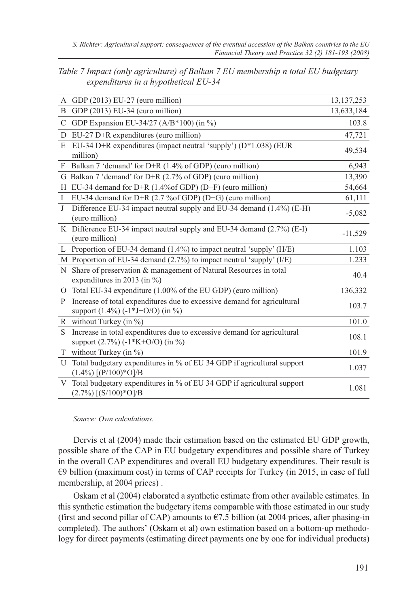| Table 7 Impact (only agriculture) of Balkan 7 EU membership n total EU budgetary |  |
|----------------------------------------------------------------------------------|--|
| expenditures in a hypothetical EU-34                                             |  |

|              | A GDP (2013) EU-27 (euro million)                                                                                    | 13, 137, 253 |
|--------------|----------------------------------------------------------------------------------------------------------------------|--------------|
| <sub>B</sub> | GDP (2013) EU-34 (euro million)                                                                                      | 13,633,184   |
| C            | GDP Expansion EU-34/27 (A/B*100) (in $\%$ )                                                                          | 103.8        |
| D            | $EU-27$ $D+R$ expenditures (euro million)                                                                            | 47,721       |
| E            | EU-34 D+R expenditures (impact neutral 'supply') (D*1.038) (EUR<br>million)                                          | 49,534       |
| F            | Balkan 7 'demand' for $D+R$ (1.4% of GDP) (euro million)                                                             | 6,943        |
|              | G Balkan 7 'demand' for $D+R$ (2.7% of GDP) (euro million)                                                           | 13,390       |
|              | H EU-34 demand for D+R $(1.4\%$ of GDP $)$ (D+F) (euro million)                                                      | 54,664       |
| $\mathbf{I}$ | EU-34 demand for D+R $(2.7\%$ of GDP $)$ (D+G) (euro million)                                                        | 61,111       |
| J            | Difference EU-34 impact neutral supply and EU-34 demand (1.4%) (E-H)<br>(euro million)                               | $-5,082$     |
|              | K Difference EU-34 impact neutral supply and EU-34 demand $(2.7%)$ (E-I)<br>(euro million)                           | $-11,529$    |
|              | L Proportion of EU-34 demand (1.4%) to impact neutral 'supply' (H/E)                                                 | 1.103        |
|              | M Proportion of EU-34 demand $(2.7%)$ to impact neutral 'supply' (I/E)                                               | 1.233        |
| N            | Share of preservation & management of Natural Resources in total<br>expenditures in 2013 (in $\%$ )                  | 40.4         |
|              | O Total EU-34 expenditure (1.00% of the EU GDP) (euro million)                                                       | 136,332      |
| P            | Increase of total expenditures due to excessive demand for agricultural<br>support (1.4%) (-1*J+O/O) (in %)          | 103.7        |
|              | R without Turkey (in $\%$ )                                                                                          | 101.0        |
| S            | Increase in total expenditures due to excessive demand for agricultural<br>support $(2.7\%)$ $(-1*K+O/O)$ (in $\%$ ) | 108.1        |
|              | T without Turkey (in $\%$ )                                                                                          | 101.9        |
| U            | Total budgetary expenditures in % of EU 34 GDP if agricultural support<br>$(1.4\%)$ [(P/100)*O]/B                    | 1.037        |
| V            | Total budgetary expenditures in % of EU 34 GDP if agricultural support<br>$(2.7\%)$ [(S/100)*O]/B                    | 1.081        |

*Source: Own calculations.*

Dervis et al (2004) made their estimation based on the estimated EU GDP growth, possible share of the CAP in EU budgetary expenditures and possible share of Turkey in the overall CAP expenditures and overall EU budgetary expenditures. Their result is €9 billion (maximum cost) in terms of CAP receipts for Turkey (in 2015, in case of full membership, at 2004 prices) .

Oskam et al (2004) elaborated a synthetic estimate from other available estimates. In this synthetic estimation the budgetary items comparable with those estimated in our study (first and second pillar of CAP) amounts to  $\epsilon$ 7.5 billion (at 2004 prices, after phasing-in completed). The authors' (Oskam et al) own estimation based on a bottom-up methodology for direct payments (estimating direct payments one by one for individual products)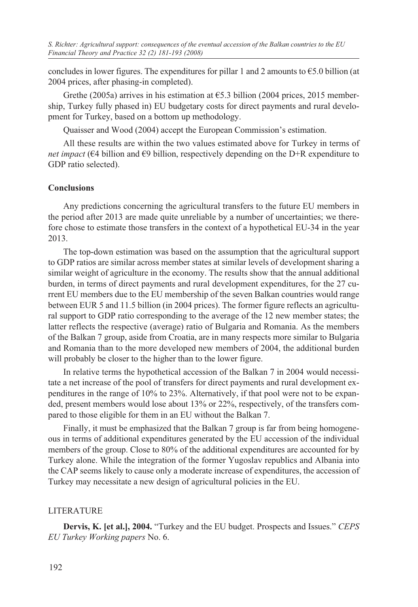concludes in lower figures. The expenditures for pillar 1 and 2 amounts to  $\epsilon$ 5.0 billion (at 2004 prices, after phasing-in completed).

Grethe (2005a) arrives in his estimation at  $65.3$  billion (2004 prices, 2015 membership, Turkey fully phased in) EU budgetary costs for direct payments and rural development for Turkey, based on a bottom up methodology.

Quaisser and Wood (2004) accept the European Commission's estimation.

All these results are within the two values estimated above for Turkey in terms of *net impact* ( $\epsilon$ 4 billion and  $\epsilon$ 9 billion, respectively depending on the D+R expenditure to GDP ratio selected).

## **Conclusions**

Any predictions concerning the agricultural transfers to the future EU members in the period after 2013 are made quite unreliable by a number of uncertainties; we therefore chose to estimate those transfers in the context of a hypothetical EU-34 in the year 2013.

The top-down estimation was based on the assumption that the agricultural support to GDP ratios are similar across member states at similar levels of development sharing a similar weight of agriculture in the economy. The results show that the annual additional burden, in terms of direct payments and rural development expenditures, for the 27 current EU members due to the EU membership of the seven Balkan countries would range between EUR 5 and 11.5 billion (in 2004 prices). The former figure reflects an agricultural support to GDP ratio corresponding to the average of the 12 new member states; the latter reflects the respective (average) ratio of Bulgaria and Romania. As the members of the Balkan 7 group, aside from Croatia, are in many respects more similar to Bulgaria and Romania than to the more developed new members of 2004, the additional burden will probably be closer to the higher than to the lower figure.

In relative terms the hypothetical accession of the Balkan 7 in 2004 would necessitate a net increase of the pool of transfers for direct payments and rural development expenditures in the range of 10% to 23%. Alternatively, if that pool were not to be expanded, present members would lose about 13% or 22%, respectively, of the transfers compared to those eligible for them in an EU without the Balkan 7.

Finally, it must be emphasized that the Balkan 7 group is far from being homogeneous in terms of additional expenditures generated by the EU accession of the individual members of the group. Close to 80% of the additional expenditures are accounted for by Turkey alone. While the integration of the former Yugoslav republics and Albania into the CAP seems likely to cause only a moderate increase of expenditures, the accession of Turkey may necessitate a new design of agricultural policies in the EU.

# LITERATURE

**Dervis, K. [et al.], 2004.** "Turkey and the EU budget. Prospects and Issues." *CEPS EU Turkey Working papers* No. 6.